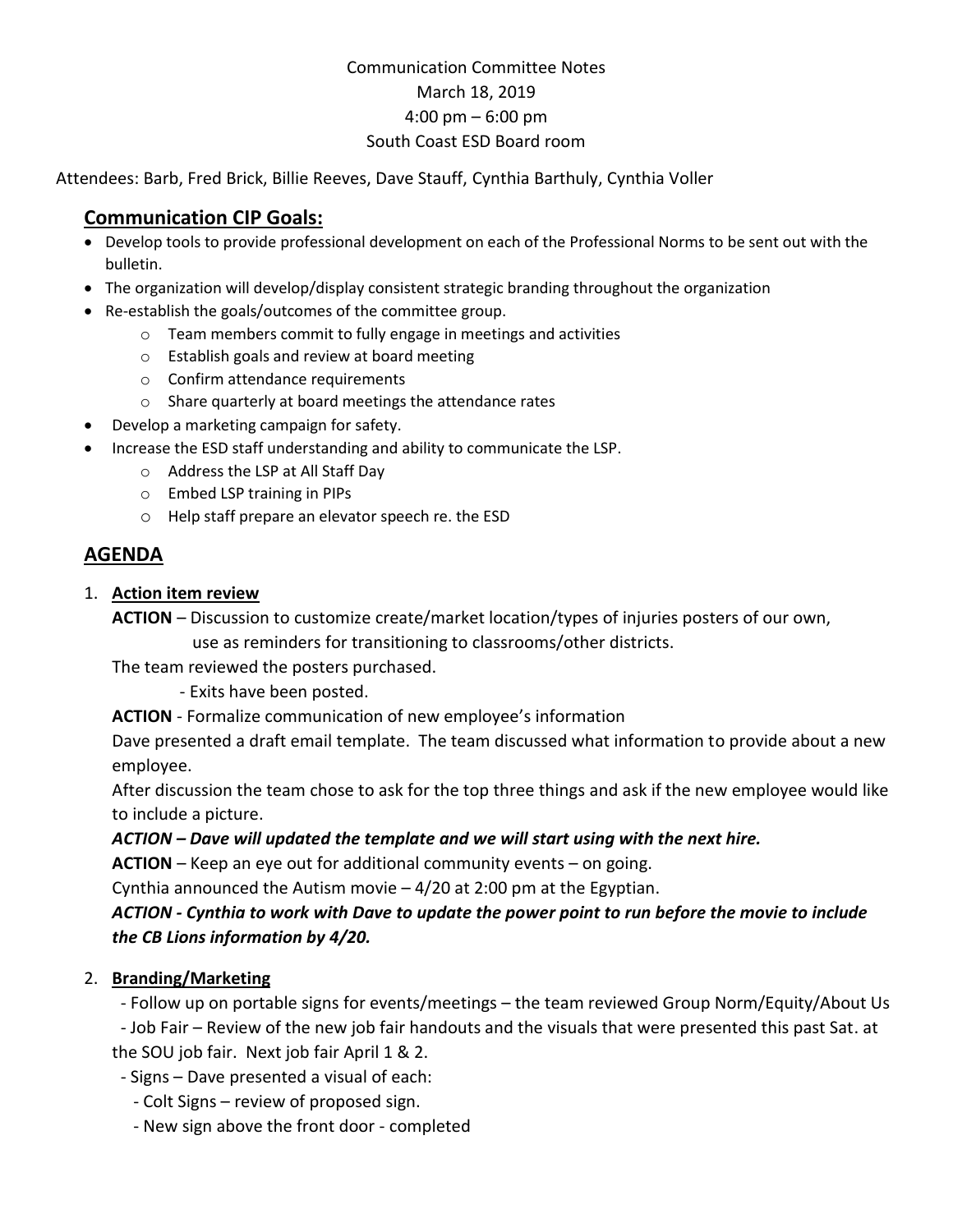# Communication Committee Notes March 18, 2019 4:00 pm – 6:00 pm South Coast ESD Board room

Attendees: Barb, Fred Brick, Billie Reeves, Dave Stauff, Cynthia Barthuly, Cynthia Voller

## **Communication CIP Goals:**

- Develop tools to provide professional development on each of the Professional Norms to be sent out with the bulletin.
- The organization will develop/display consistent strategic branding throughout the organization
- Re-establish the goals/outcomes of the committee group.
	- o Team members commit to fully engage in meetings and activities
	- o Establish goals and review at board meeting
	- o Confirm attendance requirements
	- o Share quarterly at board meetings the attendance rates
- Develop a marketing campaign for safety.
- Increase the ESD staff understanding and ability to communicate the LSP.
	- o Address the LSP at All Staff Day
	- o Embed LSP training in PIPs
	- o Help staff prepare an elevator speech re. the ESD

## **AGENDA**

### 1. **Action item review**

**ACTION** – Discussion to customize create/market location/types of injuries posters of our own,

use as reminders for transitioning to classrooms/other districts.

The team reviewed the posters purchased.

- Exits have been posted.

**ACTION** - Formalize communication of new employee's information

Dave presented a draft email template. The team discussed what information to provide about a new employee.

After discussion the team chose to ask for the top three things and ask if the new employee would like to include a picture.

### *ACTION – Dave will updated the template and we will start using with the next hire.*

**ACTION** – Keep an eye out for additional community events – on going.

Cynthia announced the Autism movie – 4/20 at 2:00 pm at the Egyptian.

## *ACTION - Cynthia to work with Dave to update the power point to run before the movie to include the CB Lions information by 4/20.*

### 2. **Branding/Marketing**

- Follow up on portable signs for events/meetings – the team reviewed Group Norm/Equity/About Us

 - Job Fair – Review of the new job fair handouts and the visuals that were presented this past Sat. at the SOU job fair. Next job fair April 1 & 2.

- Signs – Dave presented a visual of each:

- Colt Signs review of proposed sign.
- New sign above the front door completed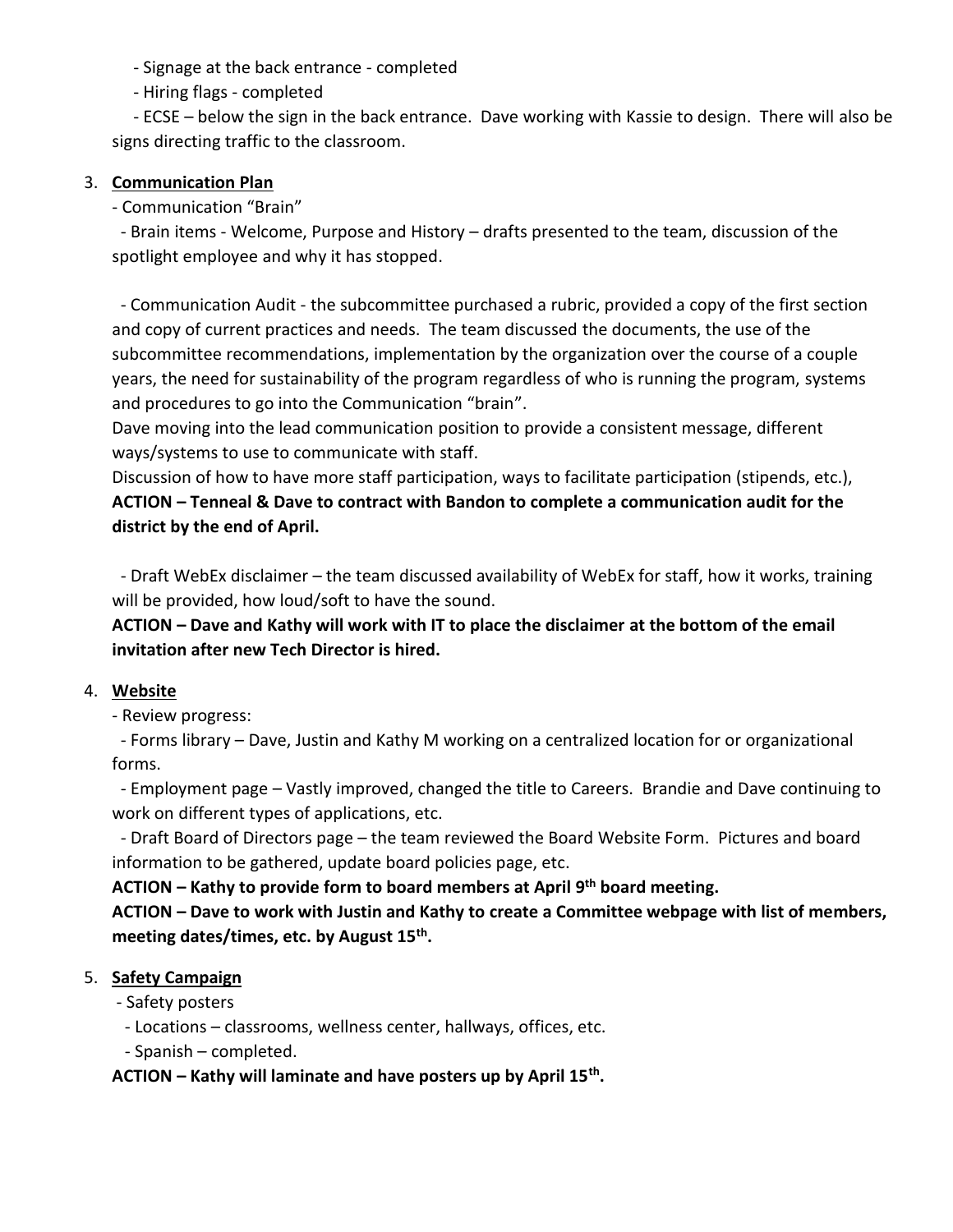- Signage at the back entrance - completed

- Hiring flags - completed

 - ECSE – below the sign in the back entrance. Dave working with Kassie to design. There will also be signs directing traffic to the classroom.

#### 3. **Communication Plan**

- Communication "Brain"

 - Brain items - Welcome, Purpose and History – drafts presented to the team, discussion of the spotlight employee and why it has stopped.

 - Communication Audit - the subcommittee purchased a rubric, provided a copy of the first section and copy of current practices and needs. The team discussed the documents, the use of the subcommittee recommendations, implementation by the organization over the course of a couple years, the need for sustainability of the program regardless of who is running the program, systems and procedures to go into the Communication "brain".

Dave moving into the lead communication position to provide a consistent message, different ways/systems to use to communicate with staff.

Discussion of how to have more staff participation, ways to facilitate participation (stipends, etc.), **ACTION – Tenneal & Dave to contract with Bandon to complete a communication audit for the district by the end of April.**

 - Draft WebEx disclaimer – the team discussed availability of WebEx for staff, how it works, training will be provided, how loud/soft to have the sound.

**ACTION – Dave and Kathy will work with IT to place the disclaimer at the bottom of the email invitation after new Tech Director is hired.**

### 4. **Website**

- Review progress:

 - Forms library – Dave, Justin and Kathy M working on a centralized location for or organizational forms.

 - Employment page – Vastly improved, changed the title to Careers. Brandie and Dave continuing to work on different types of applications, etc.

 - Draft Board of Directors page – the team reviewed the Board Website Form. Pictures and board information to be gathered, update board policies page, etc.

**ACTION – Kathy to provide form to board members at April 9 th board meeting.**

**ACTION – Dave to work with Justin and Kathy to create a Committee webpage with list of members, meeting dates/times, etc. by August 15th .**

### 5. **Safety Campaign**

- Safety posters

- Locations – classrooms, wellness center, hallways, offices, etc.

- Spanish – completed.

**ACTION – Kathy will laminate and have posters up by April 15th .**